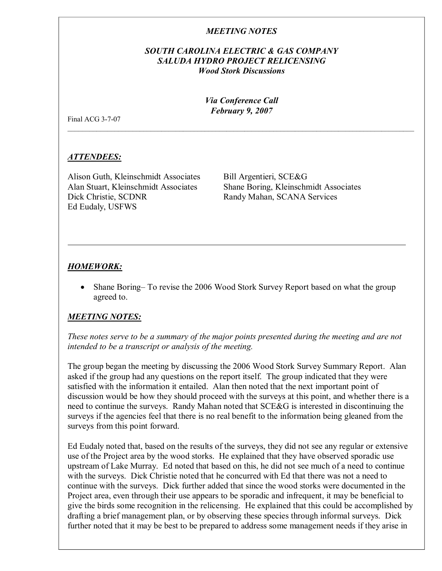# *MEETING NOTES*

# *SOUTH CAROLINA ELECTRIC & GAS COMPANY SALUDA HYDRO PROJECT RELICENSING Wood Stork Discussions*

*Via Conference Call February 9, 2007*

\_\_\_\_\_\_\_\_\_\_\_\_\_\_\_\_\_\_\_\_\_\_\_\_\_\_\_\_\_\_\_\_\_\_\_\_\_\_\_\_\_\_\_\_\_\_\_\_\_\_\_\_\_\_\_\_\_\_\_\_\_\_\_\_\_\_\_\_\_\_\_\_\_\_\_\_\_\_\_\_\_\_\_\_\_\_\_\_\_\_\_\_\_\_\_\_

Final ACG  $3-7-07$ 

### *ATTENDEES:*

Alison Guth, Kleinschmidt Associates Bill Argentieri, SCE&G Dick Christie, SCDNR Randy Mahan, SCANA Services Ed Eudaly, USFWS

Alan Stuart, Kleinschmidt Associates Shane Boring, Kleinschmidt Associates

### *HOMEWORK:*

· Shane Boring– To revise the 2006 Wood Stork Survey Report based on what the group agreed to.

### *MEETING NOTES:*

*These notes serve to be a summary of the major points presented during the meeting and are not intended to be a transcript or analysis of the meeting.*

The group began the meeting by discussing the 2006 Wood Stork Survey Summary Report. Alan asked if the group had any questions on the report itself. The group indicated that they were satisfied with the information it entailed. Alan then noted that the next important point of discussion would be how they should proceed with the surveys at this point, and whether there is a need to continue the surveys. Randy Mahan noted that SCE&G is interested in discontinuing the surveys if the agencies feel that there is no real benefit to the information being gleaned from the surveys from this point forward.

Ed Eudaly noted that, based on the results of the surveys, they did not see any regular or extensive use of the Project area by the wood storks. He explained that they have observed sporadic use upstream of Lake Murray. Ed noted that based on this, he did not see much of a need to continue with the surveys. Dick Christie noted that he concurred with Ed that there was not a need to continue with the surveys. Dick further added that since the wood storks were documented in the Project area, even through their use appears to be sporadic and infrequent, it may be beneficial to give the birds some recognition in the relicensing. He explained that this could be accomplished by drafting a brief management plan, or by observing these species through informal surveys. Dick further noted that it may be best to be prepared to address some management needs if they arise in